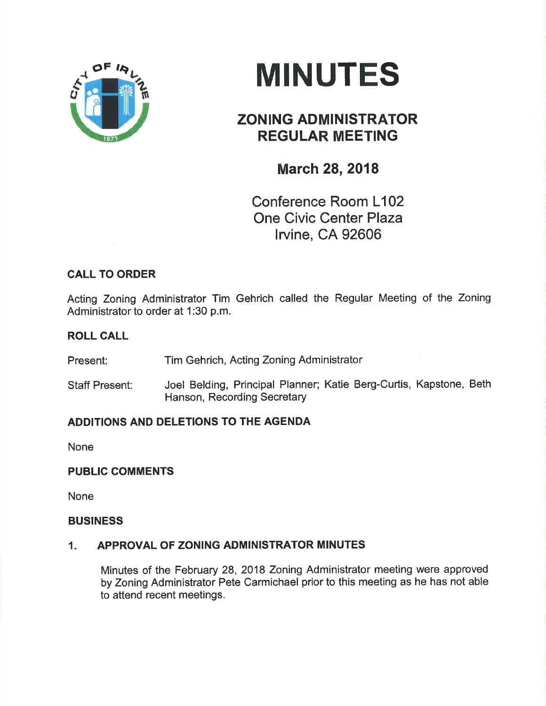

# **MINUTES**

## ZONING ADMINISTRATOR REGULAR MEETING

### **March 28, 2018**

Conference Room L102 One Civic Center Plaza lrvine, CA 92606

#### CALL TO ORDER

Acting Zoning Administrator Tim Gehrich called the Regular Meeting of the Zoning Administrator to order at 1:30 p.m.

#### ROLL CALL

Present: Tim Gehrich, Acting Zoning Administrator

Staff Present: Joel Belding, Principal Planner; Katie Berg-Curtis, Kapstone, Beth Hanson, Recording Secretary

#### ADDITIONS AND DELETIONS TO THE AGENDA

None

#### PUBLIC COMMENTS

None

#### BUSINESS

#### 1. APPROVAL OF ZONING ADMINISTRATOR MINUTES

Minutes of the February 28, 2018 Zoning Administrator meeting were approved by Zoning Administrator Pete Carmichael prior to this meeting as he has not able to attend recent meetings.